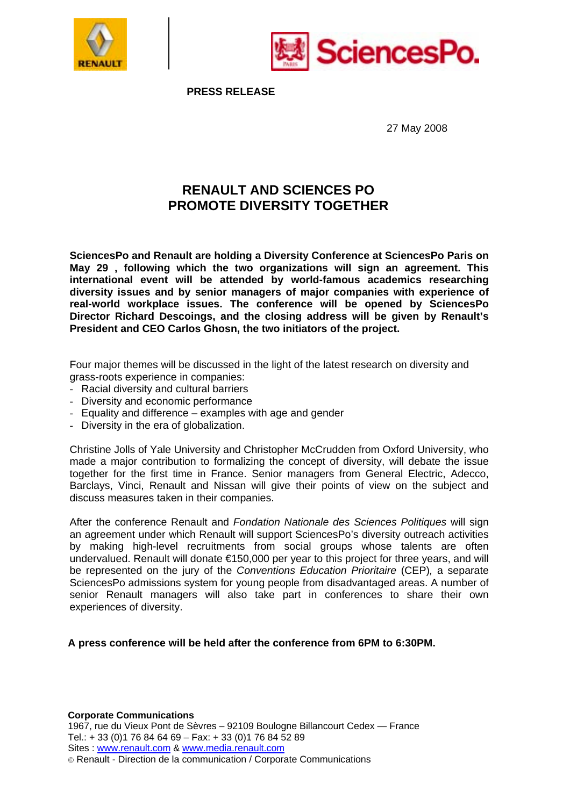



**PRESS RELEASE** 

27 May 2008

## **RENAULT AND SCIENCES PO PROMOTE DIVERSITY TOGETHER**

**SciencesPo and Renault are holding a Diversity Conference at SciencesPo Paris on May 29 , following which the two organizations will sign an agreement. This international event will be attended by world-famous academics researching diversity issues and by senior managers of major companies with experience of real-world workplace issues. The conference will be opened by SciencesPo Director Richard Descoings, and the closing address will be given by Renault's President and CEO Carlos Ghosn, the two initiators of the project.** 

Four major themes will be discussed in the light of the latest research on diversity and grass-roots experience in companies:

- Racial diversity and cultural barriers
- Diversity and economic performance
- Equality and difference examples with age and gender
- Diversity in the era of globalization.

Christine Jolls of Yale University and Christopher McCrudden from Oxford University, who made a major contribution to formalizing the concept of diversity, will debate the issue together for the first time in France. Senior managers from General Electric, Adecco, Barclays, Vinci, Renault and Nissan will give their points of view on the subject and discuss measures taken in their companies.

After the conference Renault and *Fondation Nationale des Sciences Politiques* will sign an agreement under which Renault will support SciencesPo's diversity outreach activities by making high-level recruitments from social groups whose talents are often undervalued. Renault will donate €150,000 per year to this project for three years, and will be represented on the jury of the *Conventions Education Prioritaire* (CEP)*,* a separate SciencesPo admissions system for young people from disadvantaged areas. A number of senior Renault managers will also take part in conferences to share their own experiences of diversity.

**A press conference will be held after the conference from 6PM to 6:30PM.** 

**Corporate Communications**  1967, rue du Vieux Pont de Sèvres – 92109 Boulogne Billancourt Cedex — France Tel.: + 33 (0)1 76 84 64 69 – Fax: + 33 (0)1 76 84 52 89 Sites : www.renault.com & www.media.renault.com Renault - Direction de la communication / Corporate Communications